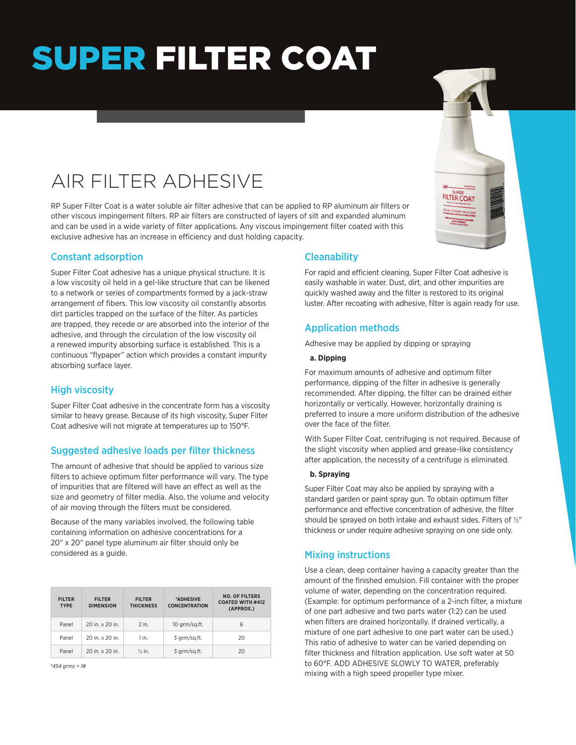# SUPER FILTER COAT

# AIR FILTER ADHESIVE

RP Super Filter Coat is a water soluble air filter adhesive that can be applied to RP aluminum air filters or other viscous impingement filters. RP air filters are constructed of layers of silt and expanded aluminum and can be used in a wide variety of filter applications. Any viscous impingement filter coated with this exclusive adhesive has an increase in efficiency and dust holding capacity.

### Constant adsorption

Super Filter Coat adhesive has a unique physical structure. It is a low viscosity oil held in a gel-like structure that can be likened to a network or series of compartments formed by a jack-straw arrangement of fibers. This low viscosity oil constantly absorbs dirt particles trapped on the surface of the filter. As particles are trapped, they recede or are absorbed into the interior of the adhesive, and through the circulation of the low viscosity oil a renewed impurity absorbing surface is established. This is a continuous "flypaper" action which provides a constant impurity absorbing surface layer.

# High viscosity

Super Filter Coat adhesive in the concentrate form has a viscosity similar to heavy grease. Because of its high viscosity, Super Filter Coat adhesive will not migrate at temperatures up to 150°F.

#### Suggested adhesive loads per filter thickness

The amount of adhesive that should be applied to various size filters to achieve optimum filter performance will vary. The type of impurities that are filtered will have an effect as well as the size and geometry of filter media. Also, the volume and velocity of air moving through the filters must be considered.

Because of the many variables involved, the following table containing information on adhesive concentrations for a 20" x 20" panel type aluminum air filter should only be considered as a guide.

| <b>FILTER</b><br><b>TYPE</b> | <b>FILTER</b><br><b>DIMENSION</b> | <b>FILTER</b><br><b>THICKNESS</b> | *ADHESIVE<br><b>CONCENTRATION</b> | <b>NO. OF FILTERS</b><br><b>COATED WITH #412</b><br>(APPROX.) |
|------------------------------|-----------------------------------|-----------------------------------|-----------------------------------|---------------------------------------------------------------|
| Panel                        | 20 in. x 20 in.                   | $2$ in.                           | 10 grm/sg.ft.                     | 6                                                             |
| Panel                        | 20 in. x 20 in.                   | $1$ in.                           | 3 grm/sg.ft.                      | 20                                                            |
| Panel                        | 20 in. x 20 in.                   | $\frac{1}{2}$ in.                 | 3 grm/sg.ft.                      | 20                                                            |

*\*454 grms = 1#*

### **Cleanability**

For rapid and efficient cleaning, Super Filter Coat adhesive is easily washable in water. Dust, dirt, and other impurities are quickly washed away and the filter is restored to its original luster. After recoating with adhesive, filter is again ready for use.

# Application methods

Adhesive may be applied by dipping or spraying

#### **a. Dipping**

For maximum amounts of adhesive and optimum filter performance, dipping of the filter in adhesive is generally recommended. After dipping, the filter can be drained either horizontally or vertically. However, horizontally draining is preferred to insure a more uniform distribution of the adhesive over the face of the filter.

With Super Filter Coat, centrifuging is not required. Because of the slight viscosity when applied and grease-like consistency after application, the necessity of a centrifuge is eliminated.

#### **b. Spraying**

Super Filter Coat may also be applied by spraying with a standard garden or paint spray gun. To obtain optimum filter performance and effective concentration of adhesive, the filter should be sprayed on both intake and exhaust sides. Filters of ½" thickness or under require adhesive spraying on one side only.

# Mixing instructions

Use a clean, deep container having a capacity greater than the amount of the finished emulsion. Fill container with the proper volume of water, depending on the concentration required. (Example: for optimum performance of a 2-inch filter, a mixture of one part adhesive and two parts water (1:2) can be used when filters are drained horizontally. If drained vertically, a mixture of one part adhesive to one part water can be used.) This ratio of adhesive to water can be varied depending on filter thickness and filtration application. Use soft water at 50 to 60°F. ADD ADHESIVE SLOWLY TO WATER, preferably mixing with a high speed propeller type mixer.